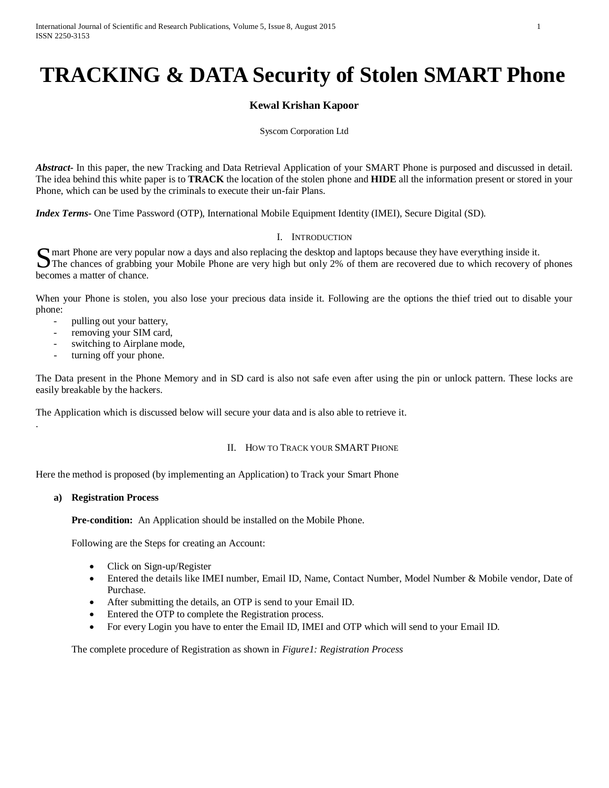# **TRACKING & DATA Security of Stolen SMART Phone**

# **Kewal Krishan Kapoor**

#### Syscom Corporation Ltd

*Abstract***-** In this paper, the new Tracking and Data Retrieval Application of your SMART Phone is purposed and discussed in detail. The idea behind this white paper is to **TRACK** the location of the stolen phone and **HIDE** all the information present or stored in your Phone, which can be used by the criminals to execute their un-fair Plans.

*Index Terms***-** One Time Password (OTP), International Mobile Equipment Identity (IMEI), Secure Digital (SD).

# I. INTRODUCTION

mart Phone are very popular now a days and also replacing the desktop and laptops because they have everything inside it. S mart Phone are very popular now a days and also replacing the desktop and laptops because they have everything inside it.<br>The chances of grabbing your Mobile Phone are very high but only 2% of them are recovered due to w becomes a matter of chance.

When your Phone is stolen, you also lose your precious data inside it. Following are the options the thief tried out to disable your phone:

- pulling out your battery,
- removing your SIM card,
- switching to Airplane mode,
- turning off your phone.

The Data present in the Phone Memory and in SD card is also not safe even after using the pin or unlock pattern. These locks are easily breakable by the hackers.

The Application which is discussed below will secure your data and is also able to retrieve it.

#### II. HOW TO TRACK YOUR SMART PHONE

Here the method is proposed (by implementing an Application) to Track your Smart Phone

#### **a) Registration Process**

.

**Pre-condition:** An Application should be installed on the Mobile Phone.

Following are the Steps for creating an Account:

- Click on Sign-up/Register
- Entered the details like IMEI number, Email ID, Name, Contact Number, Model Number & Mobile vendor, Date of Purchase.
- After submitting the details, an OTP is send to your Email ID.
- Entered the OTP to complete the Registration process.
- For every Login you have to enter the Email ID, IMEI and OTP which will send to your Email ID.

The complete procedure of Registration as shown in *Figure1: Registration Process*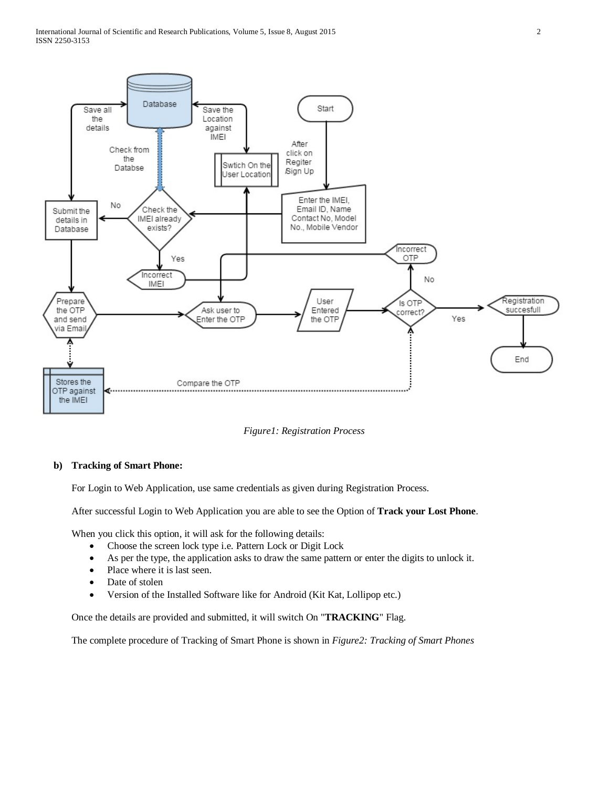

*Figure1: Registration Process*

#### **b) Tracking of Smart Phone:**

For Login to Web Application, use same credentials as given during Registration Process.

After successful Login to Web Application you are able to see the Option of **Track your Lost Phone**.

When you click this option, it will ask for the following details:

- Choose the screen lock type i.e. Pattern Lock or Digit Lock
- As per the type, the application asks to draw the same pattern or enter the digits to unlock it.
- Place where it is last seen.
- Date of stolen
- Version of the Installed Software like for Android (Kit Kat, Lollipop etc.)

Once the details are provided and submitted, it will switch On "**TRACKING**" Flag.

The complete procedure of Tracking of Smart Phone is shown in *Figure2: Tracking of Smart Phones*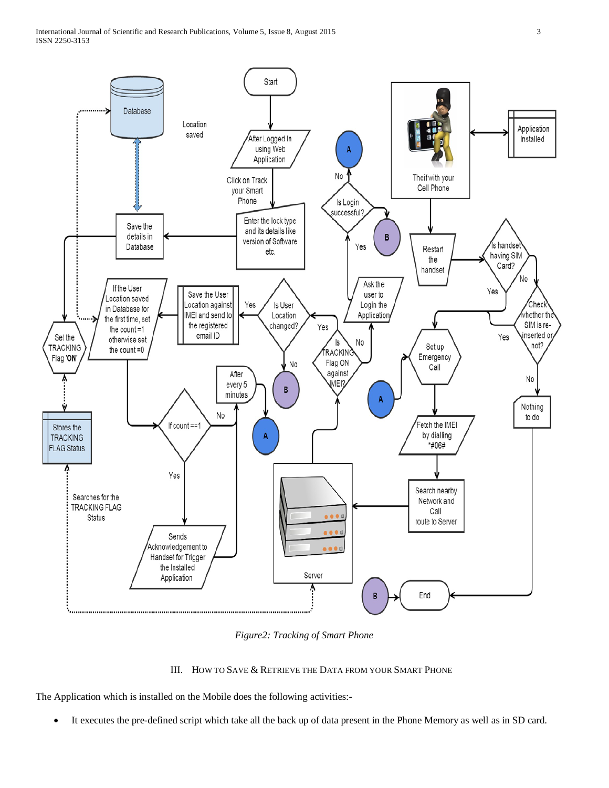

*Figure2: Tracking of Smart Phone*

#### III. HOW TO SAVE & RETRIEVE THE DATA FROM YOUR SMART PHONE

The Application which is installed on the Mobile does the following activities:-

• It executes the pre-defined script which take all the back up of data present in the Phone Memory as well as in SD card.